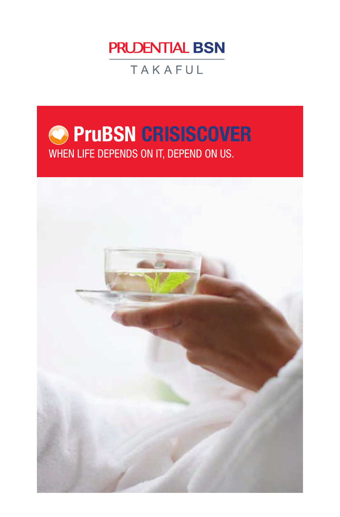

TAKAFUL

# **PruBSN CRISISCOVER** WHEN LIFE DEPENDS ON IT, DEPEND ON US.

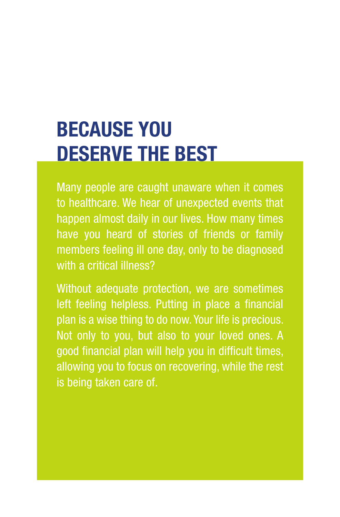# **BECAUSE YOU DESERVE THE BEST**

Many people are caught unaware when it comes to healthcare. We hear of unexpected events that happen almost daily in our lives. How many times have you heard of stories of friends or family members feeling ill one day, only to be diagnosed with a critical illness?

Without adequate protection, we are sometimes left feeling helpless. Putting in place a financial plan is a wise thing to do now. Your life is precious. Not only to you, but also to your loved ones. A good financial plan will help you in difficult times, allowing you to focus on recovering, while the rest is being taken care of.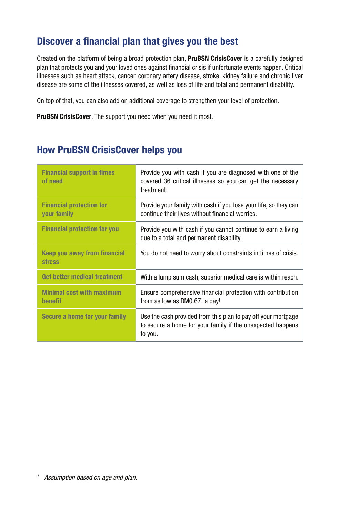#### **Discover a financial plan that gives you the best**

Created on the platform of being a broad protection plan, **PruBSN CrisisCover** is a carefully designed plan that protects you and your loved ones against financial crisis if unfortunate events happen. Critical illnesses such as heart attack, cancer, coronary artery disease, stroke, kidney failure and chronic liver disease are some of the illnesses covered, as well as loss of life and total and permanent disability.

On top of that, you can also add on additional coverage to strengthen your level of protection.

**PruBSN CrisisCover**. The support you need when you need it most.

#### **How PruBSN CrisisCover helps you**

| <b>Financial support in times</b><br>of need       | Provide you with cash if you are diagnosed with one of the<br>covered 36 critical illnesses so you can get the necessary<br>treatment. |
|----------------------------------------------------|----------------------------------------------------------------------------------------------------------------------------------------|
| <b>Financial protection for</b><br>your family     | Provide your family with cash if you lose your life, so they can<br>continue their lives without financial worries.                    |
| <b>Financial protection for you</b>                | Provide you with cash if you cannot continue to earn a living<br>due to a total and permanent disability.                              |
| Keep you away from financial<br><b>stress</b>      | You do not need to worry about constraints in times of crisis.                                                                         |
| Get better medical treatment                       | With a lump sum cash, superior medical care is within reach.                                                                           |
| <b>Minimal cost with maximum</b><br><b>benefit</b> | Ensure comprehensive financial protection with contribution<br>from as low as RM0.67 $^1$ a day!                                       |
| Secure a home for your family                      | Use the cash provided from this plan to pay off your mortgage<br>to secure a home for your family if the unexpected happens<br>to you. |

*<sup>1</sup> Assumption based on age and plan.*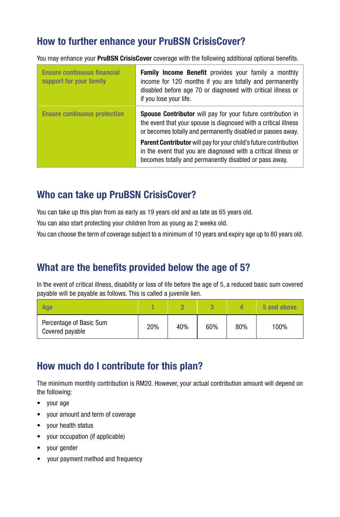#### **How to further enhance your PruBSN CrisisCover?**

You may enhance your **PruBSN CrisisCover** coverage with the following additional optional benefits.

| <b>Ensure continuous financial</b><br>support for your family | <b>Family Income Benefit</b> provides your family a monthly<br>income for 120 months if you are totally and permanently<br>disabled before age 70 or diagnosed with critical illness or<br>if you lose your life. |  |
|---------------------------------------------------------------|-------------------------------------------------------------------------------------------------------------------------------------------------------------------------------------------------------------------|--|
| <b>Ensure continuous protection</b>                           | <b>Spouse Contributor</b> will pay for your future contribution in<br>the event that your spouse is diagnosed with a critical illness<br>or becomes totally and permanently disabled or passes away.              |  |
|                                                               | <b>Parent Contributor</b> will pay for your child's future contribution<br>in the event that you are diagnosed with a critical illness or<br>becomes totally and permanently disabled or pass away.               |  |

#### **Who can take up PruBSN CrisisCover?**

You can take up this plan from as early as 19 years old and as late as 65 years old.

You can also start protecting your children from as young as 2 weeks old.

You can choose the term of coverage subject to a minimum of 10 years and expiry age up to 80 years old.

#### **What are the benefits provided below the age of 5?**

In the event of critical illness, disability or loss of life before the age of 5, a reduced basic sum covered payable will be payable as follows. This is called a juvenile lien.

| Age                                        |     |     |     | Δ   | 5 and above |
|--------------------------------------------|-----|-----|-----|-----|-------------|
| Percentage of Basic Sum<br>Covered payable | 20% | 40% | 60% | 80% | 100%        |

#### **How much do I contribute for this plan?**

The minimum monthly contribution is RM20. However, your actual contribution amount will depend on the following:

- your age
- your amount and term of coverage
- your health status
- your occupation (if applicable)
- your gender
- vour payment method and frequency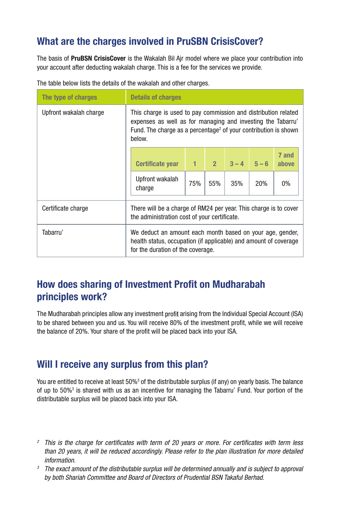#### **What are the charges involved in PruSBN CrisisCover?**

The basis of **PruBSN CrisisCover** is the Wakalah Bil Ajr model where we place your contribution into your account after deducting wakalah charge. This is a fee for the services we provide.

| The type of charges    | <b>Details of charges</b>                                                                                                                                                                                              |              |     |                     |     |                |
|------------------------|------------------------------------------------------------------------------------------------------------------------------------------------------------------------------------------------------------------------|--------------|-----|---------------------|-----|----------------|
| Upfront wakalah charge | This charge is used to pay commission and distribution related<br>expenses as well as for managing and investing the Tabarru'<br>Fund. The charge as a percentage <sup>2</sup> of your contribution is shown<br>below. |              |     |                     |     |                |
|                        | <b>Certificate year</b>                                                                                                                                                                                                | $\mathbf{1}$ |     | $2 \t3 - 4 \t5 - 6$ |     | 7 and<br>above |
|                        | Upfront wakalah<br>charge                                                                                                                                                                                              | 75%          | 55% | 35%                 | 20% | $0\%$          |
| Certificate charge     | There will be a charge of RM24 per year. This charge is to cover<br>the administration cost of your certificate.                                                                                                       |              |     |                     |     |                |
| Tabarru'               | We deduct an amount each month based on your age, gender,<br>health status, occupation (if applicable) and amount of coverage<br>for the duration of the coverage.                                                     |              |     |                     |     |                |

The table below lists the details of the wakalah and other charges.

### **How does sharing of Investment Profit on Mudharabah principles work?**

The Mudharabah principles allow any investment profit arising from the Individual Special Account (ISA) to be shared between you and us. You will receive 80% of the investment profit, while we will receive the balance of 20%. Your share of the profit will be placed back into your ISA.

#### **Will I receive any surplus from this plan?**

You are entitled to receive at least 50%<sup>3</sup> of the distributable surplus (if any) on yearly basis. The balance of up to 50%<sup>3</sup> is shared with us as an incentive for managing the Tabarru' Fund. Your portion of the distributable surplus will be placed back into your ISA.

- <sup>2</sup> This is the charge for certificates with term of 20 years or more. For certificates with term less *than 20 years, it will be reduced accordingly. Please refer to the plan illustration for more detailed information.*
- *<sup>3</sup> The exact amount of the distributable surplus will be determined annually and is subject to approval by both Shariah Committee and Board of Directors of Prudential BSN Takaful Berhad.*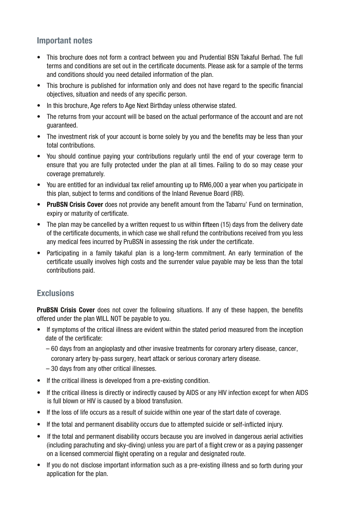#### **Important notes**

- **•** This brochure does not form a contract between you and Prudential BSN Takaful Berhad. The full terms and conditions are set out in the certificate documents. Please ask for a sample of the terms and conditions should you need detailed information of the plan.
- **•** This brochure is published for information only and does not have regard to the specific financial objectives, situation and needs of any specific person.
- **•** In this brochure, Age refers to Age Next Birthday unless otherwise stated.
- **•** The returns from your account will be based on the actual performance of the account and are not guaranteed.
- **•** The investment risk of your account is borne solely by you and the benefits may be less than your total contributions.
- **•** You should continue paying your contributions regularly until the end of your coverage term to ensure that you are fully protected under the plan at all times. Failing to do so may cease your coverage prematurely.
- **•** You are entitled for an individual tax relief amounting up to RM6,000 a year when you participate in this plan, subject to terms and conditions of the Inland Revenue Board (IRB).
- **• PruBSN Crisis Cover** does not provide any benefit amount from the Tabarru' Fund on termination, expiry or maturity of certificate.
- The plan may be cancelled by a written request to us within fifteen (15) days from the delivery date of the certificate documents, in which case we shall refund the contributions received from you less any medical fees incurred by PruBSN in assessing the risk under the certificate.
- **•** Participating in a family takaful plan is a long-term commitment. An early termination of the certificate usually involves high costs and the surrender value payable may be less than the total contributions paid.

#### **Exclusions**

**PruBSN Crisis Cover** does not cover the following situations. If any of these happen, the benefits offered under the plan WILL NOT be payable to you.

- If symptoms of the critical illness are evident within the stated period measured from the inception date of the certificate:
	- 60 days from an angioplasty and other invasive treatments for coronary artery disease, cancer,
	- coronary artery by-pass surgery, heart attack or serious coronary artery disease.
	- 30 days from any other critical illnesses.
- If the critical illness is developed from a pre-existing condition.
- If the critical illness is directly or indirectly caused by AIDS or any HIV infection except for when AIDS is full blown or HIV is caused by a blood transfusion.
- If the loss of life occurs as a result of suicide within one year of the start date of coverage.
- If the total and permanent disability occurs due to attempted suicide or self-inflicted injury.
- If the total and permanent disability occurs because you are involved in dangerous aerial activities (including parachuting and sky-diving) unless you are part of a flight crew or as a paying passenger on a licensed commercial flight operating on a regular and designated route.
- If you do not disclose important information such as a pre-existing illness and so forth during your application for the plan.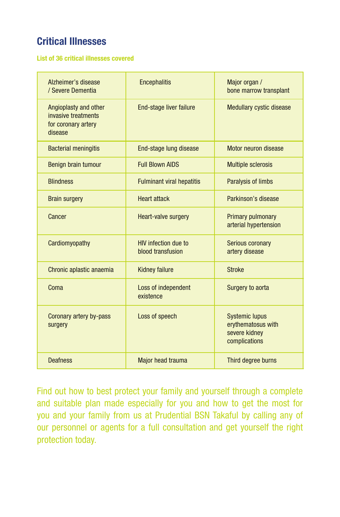## **Critical Illnesses**

#### **List of 36 critical illnesses covered**

| Alzheimer's disease<br>/ Severe Dementia                                       | <b>Encephalitis</b>                              | Major organ /<br>bone marrow transplant                                       |
|--------------------------------------------------------------------------------|--------------------------------------------------|-------------------------------------------------------------------------------|
| Angioplasty and other<br>invasive treatments<br>for coronary artery<br>disease | End-stage liver failure                          | <b>Medullary cystic disease</b>                                               |
| <b>Bacterial meningitis</b>                                                    | End-stage lung disease                           | Motor neuron disease                                                          |
| Benign brain tumour                                                            | <b>Full Blown AIDS</b>                           | <b>Multiple sclerosis</b>                                                     |
| <b>Blindness</b>                                                               | <b>Fulminant viral hepatitis</b>                 | Paralysis of limbs                                                            |
| <b>Brain surgery</b>                                                           | Heart attack                                     | Parkinson's disease                                                           |
| Cancer                                                                         | Heart-valve surgery                              | <b>Primary pulmonary</b><br>arterial hypertension                             |
| Cardiomyopathy                                                                 | <b>HIV</b> infection due to<br>blood transfusion | Serious coronary<br>artery disease                                            |
| Chronic aplastic anaemia                                                       | <b>Kidney failure</b>                            | <b>Stroke</b>                                                                 |
| Coma                                                                           | Loss of independent<br>existence                 | Surgery to aorta                                                              |
| Coronary artery by-pass<br>surgery                                             | Loss of speech                                   | <b>Systemic lupus</b><br>erythematosus with<br>severe kidney<br>complications |
| <b>Deafness</b>                                                                | Major head trauma                                | Third degree burns                                                            |

Find out how to best protect your family and yourself through a complete and suitable plan made especially for you and how to get the most for you and your family from us at Prudential BSN Takaful by calling any of our personnel or agents for a full consultation and get yourself the right protection today.